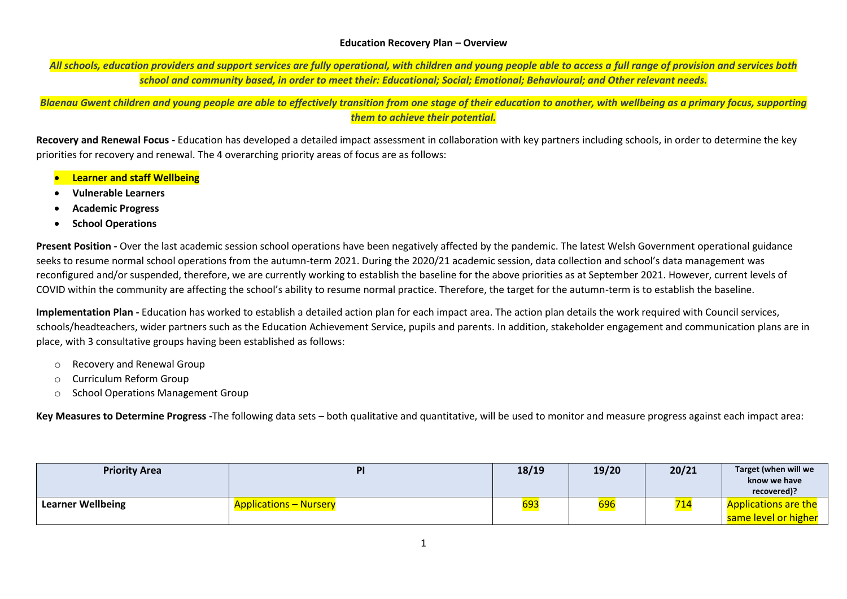## **Education Recovery Plan – Overview**

*All schools, education providers and support services are fully operational, with children and young people able to access a full range of provision and services both school and community based, in order to meet their: Educational; Social; Emotional; Behavioural; and Other relevant needs.*

*Blaenau Gwent children and young people are able to effectively transition from one stage of their education to another, with wellbeing as a primary focus, supporting them to achieve their potential.*

**Recovery and Renewal Focus -** Education has developed a detailed impact assessment in collaboration with key partners including schools, in order to determine the key priorities for recovery and renewal. The 4 overarching priority areas of focus are as follows:

- **Learner and staff Wellbeing**
- **Vulnerable Learners**
- **Academic Progress**
- **School Operations**

**Present Position -** Over the last academic session school operations have been negatively affected by the pandemic. The latest Welsh Government operational guidance seeks to resume normal school operations from the autumn-term 2021. During the 2020/21 academic session, data collection and school's data management was reconfigured and/or suspended, therefore, we are currently working to establish the baseline for the above priorities as at September 2021. However, current levels of COVID within the community are affecting the school's ability to resume normal practice. Therefore, the target for the autumn-term is to establish the baseline.

**Implementation Plan -** Education has worked to establish a detailed action plan for each impact area. The action plan details the work required with Council services, schools/headteachers, wider partners such as the Education Achievement Service, pupils and parents. In addition, stakeholder engagement and communication plans are in place, with 3 consultative groups having been established as follows:

- o Recovery and Renewal Group
- o Curriculum Reform Group
- o School Operations Management Group

**Key Measures to Determine Progress -**The following data sets – both qualitative and quantitative, will be used to monitor and measure progress against each impact area:

| <b>Priority Area</b>     | PI                            | 18/19 | 19/20            | 20/21 | Target (when will we<br>know we have |
|--------------------------|-------------------------------|-------|------------------|-------|--------------------------------------|
|                          |                               |       |                  |       | recovered)?                          |
| <b>Learner Wellbeing</b> | <b>Applications – Nursery</b> | 693   | <mark>696</mark> |       | <b>Applications are the</b>          |
|                          |                               |       |                  |       | same level or higher                 |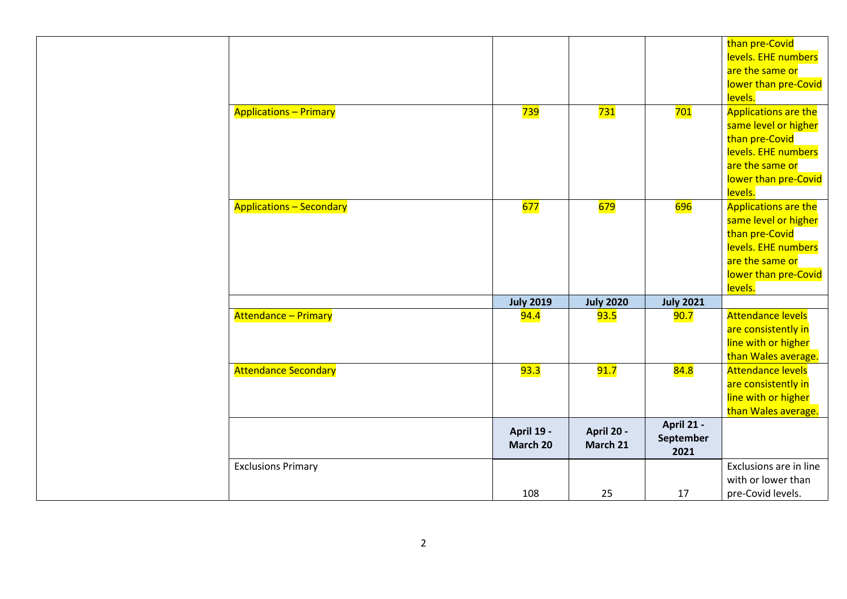|                                 |                   |                  |                  | than pre-Covid              |
|---------------------------------|-------------------|------------------|------------------|-----------------------------|
|                                 |                   |                  |                  | levels. EHE numbers         |
|                                 |                   |                  |                  | are the same or             |
|                                 |                   |                  |                  | lower than pre-Covid        |
|                                 |                   |                  |                  | levels.                     |
| <b>Applications - Primary</b>   | 739               | 731              | 701              | <b>Applications are the</b> |
|                                 |                   |                  |                  | same level or higher        |
|                                 |                   |                  |                  | than pre-Covid              |
|                                 |                   |                  |                  | levels. EHE numbers         |
|                                 |                   |                  |                  | are the same or             |
|                                 |                   |                  |                  | lower than pre-Covid        |
|                                 |                   |                  |                  | levels.                     |
| <b>Applications - Secondary</b> | 677               | <b>679</b>       | 696              | <b>Applications are the</b> |
|                                 |                   |                  |                  | same level or higher        |
|                                 |                   |                  |                  | than pre-Covid              |
|                                 |                   |                  |                  | levels. EHE numbers         |
|                                 |                   |                  |                  | are the same or             |
|                                 |                   |                  |                  | lower than pre-Covid        |
|                                 |                   |                  |                  | levels.                     |
|                                 | <b>July 2019</b>  | <b>July 2020</b> | <b>July 2021</b> |                             |
| <b>Attendance - Primary</b>     | <b>94.4</b>       | 93.5             | 90.7             | <b>Attendance levels</b>    |
|                                 |                   |                  |                  | are consistently in         |
|                                 |                   |                  |                  | line with or higher         |
|                                 |                   |                  |                  | than Wales average.         |
| <b>Attendance Secondary</b>     | 93.3              | 91.7             | 84.8             | <b>Attendance levels</b>    |
|                                 |                   |                  |                  | are consistently in         |
|                                 |                   |                  |                  | line with or higher         |
|                                 |                   |                  |                  | than Wales average.         |
|                                 | <b>April 19 -</b> | April 20 -       | April 21 -       |                             |
|                                 | March 20          | March 21         | September        |                             |
|                                 |                   |                  | 2021             |                             |
| <b>Exclusions Primary</b>       |                   |                  |                  | Exclusions are in line      |
|                                 |                   |                  |                  | with or lower than          |
|                                 | 108               | 25               | 17               | pre-Covid levels.           |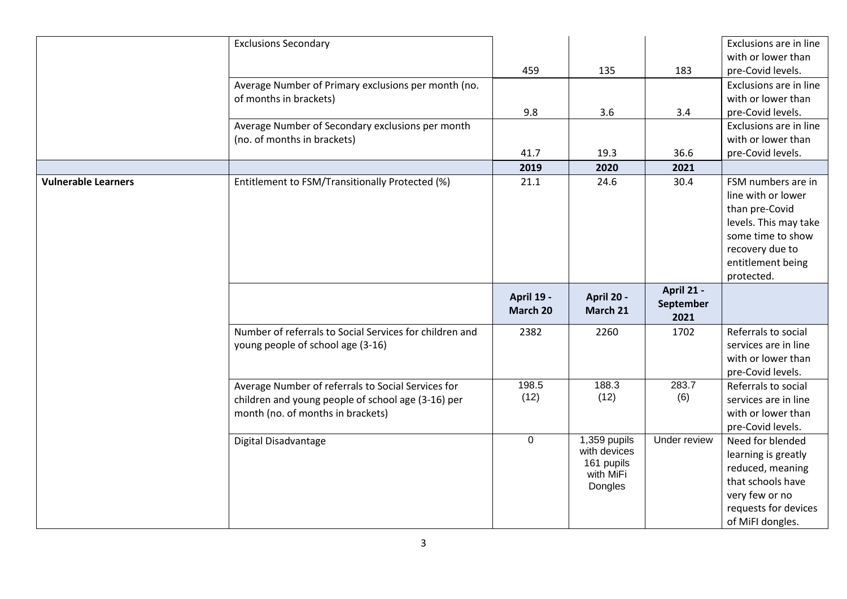|                            | <b>Exclusions Secondary</b>                             |             |              |              | Exclusions are in line                   |
|----------------------------|---------------------------------------------------------|-------------|--------------|--------------|------------------------------------------|
|                            |                                                         |             |              |              | with or lower than                       |
|                            |                                                         | 459         | 135          | 183          | pre-Covid levels.                        |
|                            | Average Number of Primary exclusions per month (no.     |             |              |              | Exclusions are in line                   |
|                            | of months in brackets)                                  |             |              |              | with or lower than                       |
|                            |                                                         | 9.8         | 3.6          | 3.4          | pre-Covid levels.                        |
|                            | Average Number of Secondary exclusions per month        |             |              |              | Exclusions are in line                   |
|                            | (no. of months in brackets)                             |             |              |              | with or lower than                       |
|                            |                                                         | 41.7        | 19.3         | 36.6         | pre-Covid levels.                        |
|                            |                                                         | 2019        | 2020         | 2021         |                                          |
| <b>Vulnerable Learners</b> | Entitlement to FSM/Transitionally Protected (%)         | 21.1        | 24.6         | 30.4         | FSM numbers are in                       |
|                            |                                                         |             |              |              | line with or lower                       |
|                            |                                                         |             |              |              | than pre-Covid                           |
|                            |                                                         |             |              |              | levels. This may take                    |
|                            |                                                         |             |              |              | some time to show                        |
|                            |                                                         |             |              |              | recovery due to                          |
|                            |                                                         |             |              |              | entitlement being                        |
|                            |                                                         |             |              |              | protected.                               |
|                            |                                                         | April 19 -  | April 20 -   | April 21 -   |                                          |
|                            |                                                         | March 20    | March 21     | September    |                                          |
|                            |                                                         |             |              | 2021         |                                          |
|                            | Number of referrals to Social Services for children and | 2382        | 2260         | 1702         | Referrals to social                      |
|                            | young people of school age (3-16)                       |             |              |              | services are in line                     |
|                            |                                                         |             |              |              | with or lower than                       |
|                            |                                                         |             |              |              | pre-Covid levels.                        |
|                            | Average Number of referrals to Social Services for      |             |              | 283.7        | Referrals to social                      |
|                            |                                                         | 198.5       | 188.3        |              |                                          |
|                            | children and young people of school age (3-16) per      | (12)        | (12)         | (6)          | services are in line                     |
|                            | month (no. of months in brackets)                       |             |              |              | with or lower than                       |
|                            |                                                         |             |              |              | pre-Covid levels.                        |
|                            | Digital Disadvantage                                    | $\mathbf 0$ | 1,359 pupils | Under review | Need for blended                         |
|                            |                                                         |             | with devices |              | learning is greatly                      |
|                            |                                                         |             | 161 pupils   |              | reduced, meaning                         |
|                            |                                                         |             | with MiFi    |              | that schools have                        |
|                            |                                                         |             | Dongles      |              | very few or no                           |
|                            |                                                         |             |              |              | requests for devices<br>of MiFI dongles. |